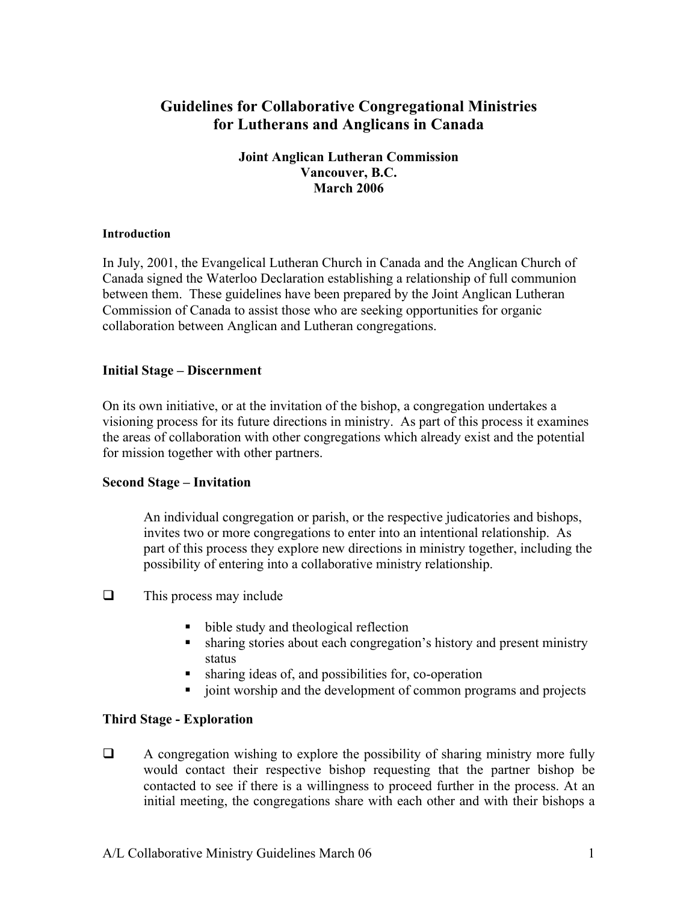# **Guidelines for Collaborative Congregational Ministries for Lutherans and Anglicans in Canada**

## **Joint Anglican Lutheran Commission Vancouver, B.C. March 2006**

#### **Introduction**

In July, 2001, the Evangelical Lutheran Church in Canada and the Anglican Church of Canada signed the Waterloo Declaration establishing a relationship of full communion between them. These guidelines have been prepared by the Joint Anglican Lutheran Commission of Canada to assist those who are seeking opportunities for organic collaboration between Anglican and Lutheran congregations.

## **Initial Stage – Discernment**

On its own initiative, or at the invitation of the bishop, a congregation undertakes a visioning process for its future directions in ministry. As part of this process it examines the areas of collaboration with other congregations which already exist and the potential for mission together with other partners.

## **Second Stage – Invitation**

An individual congregation or parish, or the respective judicatories and bishops, invites two or more congregations to enter into an intentional relationship. As part of this process they explore new directions in ministry together, including the possibility of entering into a collaborative ministry relationship.

- $\Box$  This process may include
	- bible study and theological reflection
	- sharing stories about each congregation's history and present ministry status
	- § sharing ideas of, and possibilities for, co-operation
	- § joint worship and the development of common programs and projects

## **Third Stage - Exploration**

 $\Box$  A congregation wishing to explore the possibility of sharing ministry more fully would contact their respective bishop requesting that the partner bishop be contacted to see if there is a willingness to proceed further in the process. At an initial meeting, the congregations share with each other and with their bishops a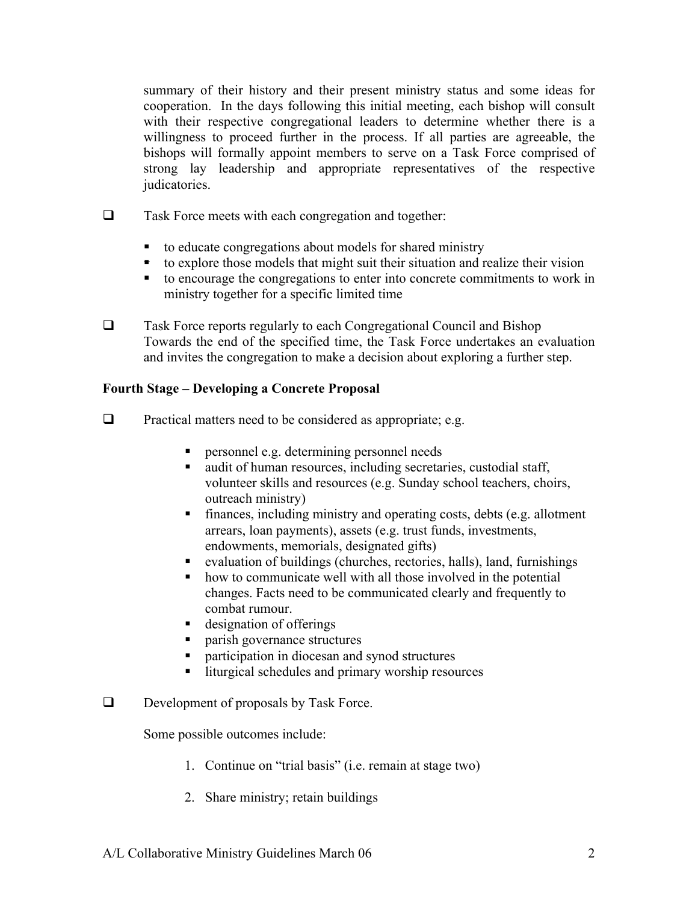summary of their history and their present ministry status and some ideas for cooperation. In the days following this initial meeting, each bishop will consult with their respective congregational leaders to determine whether there is a willingness to proceed further in the process. If all parties are agreeable, the bishops will formally appoint members to serve on a Task Force comprised of strong lay leadership and appropriate representatives of the respective judicatories.

- $\Box$  Task Force meets with each congregation and together:
	- to educate congregations about models for shared ministry
	- to explore those models that might suit their situation and realize their vision
	- to encourage the congregations to enter into concrete commitments to work in ministry together for a specific limited time
- $\Box$  Task Force reports regularly to each Congregational Council and Bishop Towards the end of the specified time, the Task Force undertakes an evaluation and invites the congregation to make a decision about exploring a further step.

## **Fourth Stage – Developing a Concrete Proposal**

- $\Box$  Practical matters need to be considered as appropriate; e.g.
	- personnel e.g. determining personnel needs
	- audit of human resources, including secretaries, custodial staff, volunteer skills and resources (e.g. Sunday school teachers, choirs, outreach ministry)
	- finances, including ministry and operating costs, debts (e.g. allotment arrears, loan payments), assets (e.g. trust funds, investments, endowments, memorials, designated gifts)
	- evaluation of buildings (churches, rectories, halls), land, furnishings
	- how to communicate well with all those involved in the potential changes. Facts need to be communicated clearly and frequently to combat rumour.
	- designation of offerings
	- § parish governance structures
	- participation in diocesan and synod structures
	- liturgical schedules and primary worship resources
- $\Box$  Development of proposals by Task Force.

Some possible outcomes include:

- 1. Continue on "trial basis" (i.e. remain at stage two)
- 2. Share ministry; retain buildings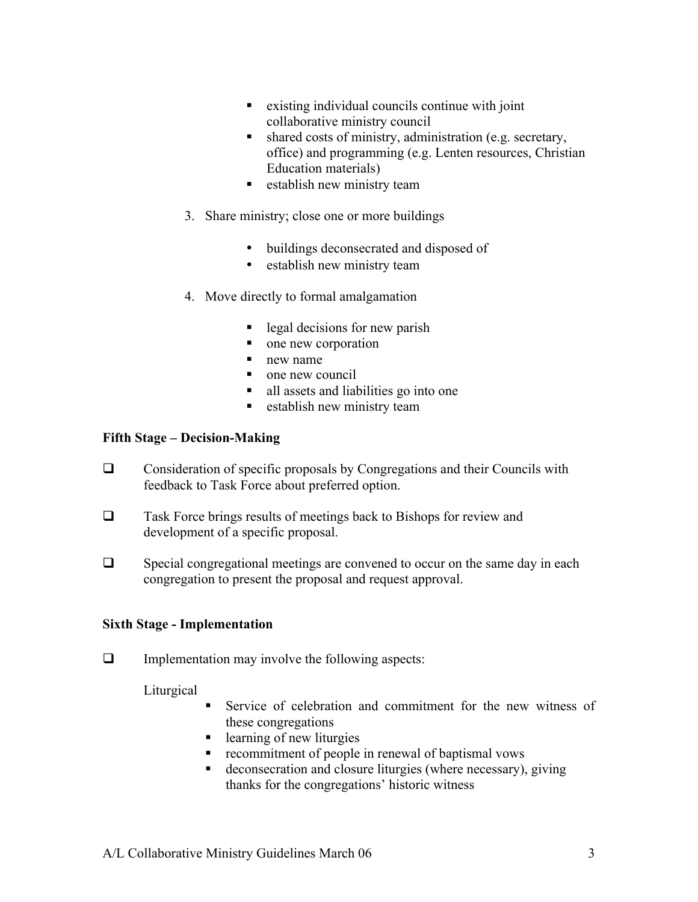- existing individual councils continue with joint collaborative ministry council
- shared costs of ministry, administration (e.g. secretary, office) and programming (e.g. Lenten resources, Christian Education materials)
- establish new ministry team
- 3. Share ministry; close one or more buildings
	- buildings deconsecrated and disposed of
	- establish new ministry team
- 4. Move directly to formal amalgamation
	- § legal decisions for new parish
	- one new corporation
	- new name
	- § one new council
	- § all assets and liabilities go into one
	- establish new ministry team

## **Fifth Stage – Decision-Making**

- $\Box$  Consideration of specific proposals by Congregations and their Councils with feedback to Task Force about preferred option.
- $\Box$  Task Force brings results of meetings back to Bishops for review and development of a specific proposal.
- $\Box$  Special congregational meetings are convened to occur on the same day in each congregation to present the proposal and request approval.

## **Sixth Stage - Implementation**

 $\Box$  Implementation may involve the following aspects:

Liturgical

- § Service of celebration and commitment for the new witness of these congregations
- learning of new liturgies
- recommitment of people in renewal of baptismal vows
- deconsecration and closure liturgies (where necessary), giving thanks for the congregations' historic witness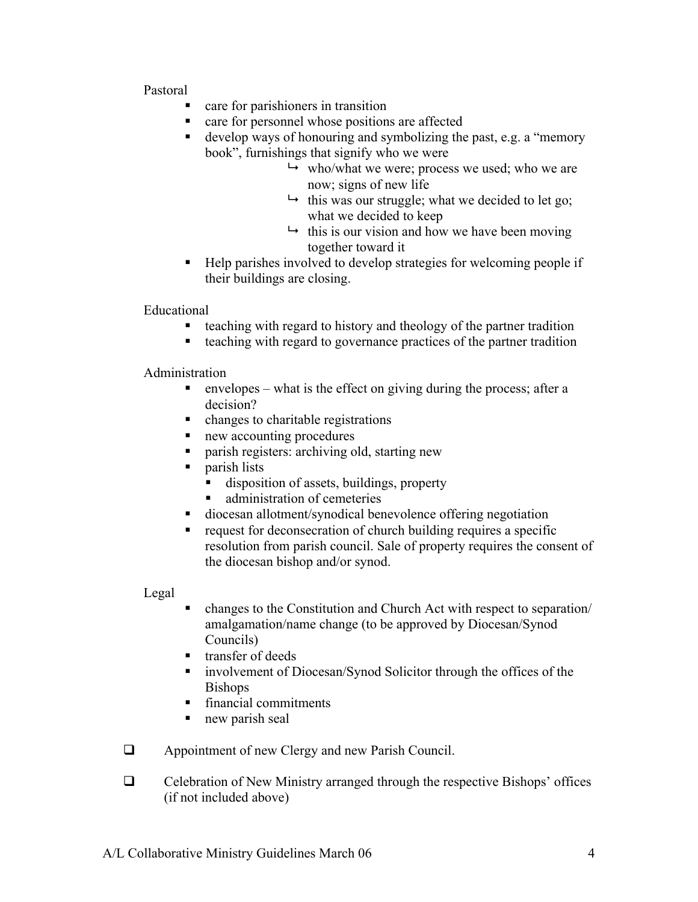## Pastoral

- § care for parishioners in transition
- § care for personnel whose positions are affected
- develop ways of honouring and symbolizing the past, e.g. a "memory" book", furnishings that signify who we were
	- $\rightarrow$  who/what we were; process we used; who we are now; signs of new life
	- $\rightarrow$  this was our struggle; what we decided to let go; what we decided to keep
	- $\rightarrow$  this is our vision and how we have been moving together toward it
- § Help parishes involved to develop strategies for welcoming people if their buildings are closing.

Educational

- § teaching with regard to history and theology of the partner tradition
- teaching with regard to governance practices of the partner tradition

Administration

- envelopes what is the effect on giving during the process; after a decision?
- changes to charitable registrations
- § new accounting procedures
- § parish registers: archiving old, starting new
- parish lists
	- disposition of assets, buildings, property
	- administration of cemeteries
- diocesan allotment/synodical benevolence offering negotiation
- request for deconsecration of church building requires a specific resolution from parish council. Sale of property requires the consent of the diocesan bishop and/or synod.

Legal

- § changes to the Constitution and Church Act with respect to separation/ amalgamation/name change (to be approved by Diocesan/Synod Councils)
- transfer of deeds
- involvement of Diocesan/Synod Solicitor through the offices of the Bishops
- financial commitments
- § new parish seal
- $\Box$  Appointment of new Clergy and new Parish Council.
- $\Box$  Celebration of New Ministry arranged through the respective Bishops' offices (if not included above)